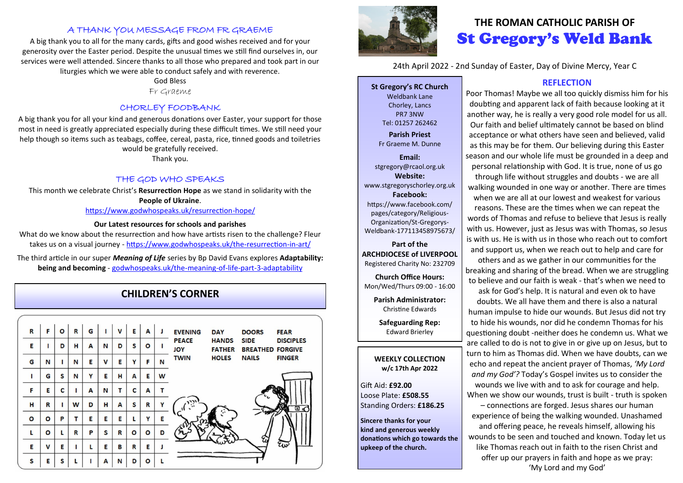## A THANK YOU MESSAGE FROM FR GRAEME

A big thank you to all for the many cards, gifts and good wishes received and for your generosity over the Easter period. Despite the unusual times we still find ourselves in, our services were well attended. Sincere thanks to all those who prepared and took part in our liturgies which we were able to conduct safely and with reverence.

#### God Bless

Fr Graeme

### CHORLEY FOODBANK

A big thank you for all your kind and generous donations over Easter, your support for those most in need is greatly appreciated especially during these difficult times. We still need your help though so items such as teabags, coffee, cereal, pasta, rice, tinned goods and toiletries would be gratefully received.

Thank you.

#### THE GOD WHO SPEAKS

This month we celebrate Christ's **Resurrection Hope** as we stand in solidarity with the **People of Ukraine**.

[https://www.godwhospeaks.uk/resurrection](https://www.godwhospeaks.uk/resurrection-hope/)-hope/

#### **Our Latest resources for schools and parishes**

What do we know about the resurrection and how have artists risen to the challenge? Fleur takes us on a visual journey - [https://www.godwhospeaks.uk/the](https://www.godwhospeaks.uk/the-resurrection-in-art/)-resurrection-in-art/

The third article in our super *Meaning of Life* series by Bp David Evans explores **Adaptability: being and becoming** - [godwhospeaks.uk/the](https://eur03.safelinks.protection.outlook.com/?url=https%3A%2F%2Fwww.godwhospeaks.uk%2Fthe-meaning-of-life-part-3-adaptability%2F&data=04%7C01%7CFleur.Dorrell%40biblesociety.org.uk%7Cc970a6f09cdb4563765408da12fcf32b%7C707a8a9fd8614ff1937f94e1b73671b7%7C1%7C0)-meaning-of-life-part-3-adaptability

# **CHILDREN'S CORNER**





# **THE ROMAN CATHOLIC PARISH OF** St Gregory's Weld Bank

24th April 2022 - 2nd Sunday of Easter, Day of Divine Mercy, Year C

**St Gregory's RC Church** Weldbank Lane Chorley, Lancs PR7 3NW Tel: 01257 262462

**Parish Priest** Fr Graeme M. Dunne

**Email:** stgregory@rcaol.org.uk **Website:** www.stgregoryschorley.org.uk **Facebook:** https://www.facebook.com/ pages/category/Religious-Organization/St-Gregorys-Weldbank-177113458975673/

**Part of the ARCHDIOCESE of LIVERPOOL**  Registered Charity No: 232709

**Church Office Hours:** Mon/Wed/Thurs 09:00 - 16:00

**Parish Administrator:** Christine Edwards

**Safeguarding Rep:** Edward Brierley

#### **WEEKLY COLLECTION w/c 17th Apr 2022**

Gift Aid: **£92.00** Loose Plate: **£508.55** Standing Orders: **£186.25**

**Sincere thanks for your kind and generous weekly donations which go towards the upkeep of the church.** 

### **REFLECTION**

Poor Thomas! Maybe we all too quickly dismiss him for his doubting and apparent lack of faith because looking at it another way, he is really a very good role model for us all. Our faith and belief ultimately cannot be based on blind acceptance or what others have seen and believed, valid as this may be for them. Our believing during this Easter season and our whole life must be grounded in a deep and personal relationship with God. It is true, none of us go through life without struggles and doubts - we are all walking wounded in one way or another. There are times when we are all at our lowest and weakest for various reasons. These are the times when we can repeat the words of Thomas and refuse to believe that Jesus is really with us. However, just as Jesus was with Thomas, so Jesus is with us. He is with us in those who reach out to comfort and support us, when we reach out to help and care for

others and as we gather in our communities for the breaking and sharing of the bread. When we are struggling to believe and our faith is weak - that's when we need to ask for God's help. It is natural and even ok to have doubts. We all have them and there is also a natural human impulse to hide our wounds. But Jesus did not try to hide his wounds, nor did he condemn Thomas for his questioning doubt -neither does he condemn us. What we are called to do is not to give in or give up on Jesus, but to turn to him as Thomas did. When we have doubts, can we echo and repeat the ancient prayer of Thomas, *'My Lord and my God'?* Today's Gospel invites us to consider the wounds we live with and to ask for courage and help. When we show our wounds, trust is built - truth is spoken – connections are forged. Jesus shares our human experience of being the walking wounded. Unashamed and offering peace, he reveals himself, allowing his wounds to be seen and touched and known. Today let us like Thomas reach out in faith to the risen Christ and offer up our prayers in faith and hope as we pray: 'My Lord and my God'